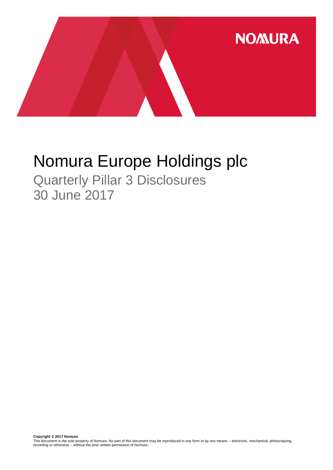

# Nomura Europe Holdings plc

Quarterly Pillar 3 Disclosures 30 June 2017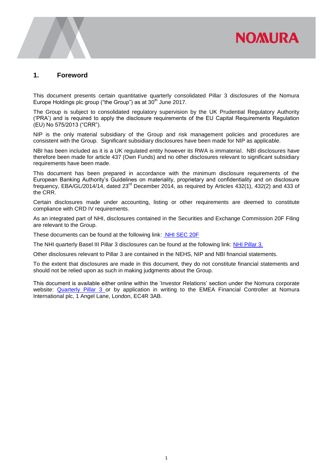

#### **1. Foreword**

This document presents certain quantitative quarterly consolidated Pillar 3 disclosures of the Nomura Europe Holdings plc group ("the Group") as at 30<sup>th</sup> June 2017.

The Group is subject to consolidated regulatory supervision by the UK Prudential Regulatory Authority ('PRA') and is required to apply the disclosure requirements of the EU Capital Requirements Regulation (EU) No 575/2013 ("CRR").

NIP is the only material subsidiary of the Group and risk management policies and procedures are consistent with the Group. Significant subsidiary disclosures have been made for NIP as applicable.

NBI has been included as it is a UK regulated entity however its RWA is immaterial. NBI disclosures have therefore been made for article 437 (Own Funds) and no other disclosures relevant to significant subsidiary requirements have been made.

This document has been prepared in accordance with the minimum disclosure requirements of the European Banking Authority's Guidelines on materiality, proprietary and confidentiality and on disclosure frequency, EBA/GL/2014/14, dated 23<sup>rd</sup> December 2014, as required by Articles 432(1), 432(2) and 433 of the CRR.

Certain disclosures made under accounting, listing or other requirements are deemed to constitute compliance with CRD IV requirements.

As an integrated part of NHI, disclosures contained in the Securities and Exchange Commission 20F Filing are relevant to the Group.

These documents can be found at the following link: [NHI SEC 20F](http://www.nomuraholdings.com/investor/library/sec/index.html)

The NHI quarterly Basel III Pillar 3 disclosures can be found at the following link: [NHI Pillar 3.](http://www.nomuraholdings.com/investor/summary/highlight/ratio.html)

Other disclosures relevant to Pillar 3 are contained in the NEHS, NIP and NBI financial statements.

To the extent that disclosures are made in this document, they do not constitute financial statements and should not be relied upon as such in making judgments about the Group.

This document is available either online within the 'Investor Relations' section under the Nomura corporate website: [Quarterly Pillar 3](https://www.nomuranow.com/portal/site/nnextranet/en/regulatory-disclosures/) or by application in writing to the EMEA Financial Controller at Nomura International plc, 1 Angel Lane, London, EC4R 3AB.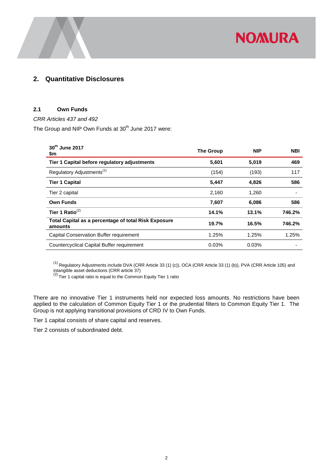

## **2. Quantitative Disclosures**

#### **2.1 Own Funds**

*CRR Articles 437 and 492* 

The Group and NIP Own Funds at 30<sup>th</sup> June 2017 were:

| 30th June 2017<br>\$m                                           | <b>The Group</b> | <b>NIP</b> | <b>NBI</b> |
|-----------------------------------------------------------------|------------------|------------|------------|
| Tier 1 Capital before regulatory adjustments                    | 5,601            | 5,019      | 469        |
| Regulatory Adjustments <sup>(1)</sup>                           | (154)            | (193)      | 117        |
| <b>Tier 1 Capital</b>                                           | 5,447            | 4,826      | 586        |
| Tier 2 capital                                                  | 2,160            | 1,260      |            |
| <b>Own Funds</b>                                                | 7,607            | 6,086      | 586        |
| Tier 1 Ratio $^{(2)}$                                           | 14.1%            | 13.1%      | 746.2%     |
| Total Capital as a percentage of total Risk Exposure<br>amounts | 19.7%            | 16.5%      | 746.2%     |
| Capital Conservation Buffer requirement                         | 1.25%            | 1.25%      | 1.25%      |
| Countercyclical Capital Buffer requirement                      | 0.03%            | 0.03%      |            |

 $^{(1)}$  Regulatory Adjustments include DVA (CRR Article 33 (1) (c)), OCA (CRR Article 33 (1) (b)), PVA (CRR Article 105) and

intangible asset deductions (CRR article 37)<br><sup>(2)</sup> Tier 1 capital ratio is equal to the Common Equity Tier 1 ratio

There are no innovative Tier 1 instruments held nor expected loss amounts. No restrictions have been applied to the calculation of Common Equity Tier 1 or the prudential filters to Common Equity Tier 1. The Group is not applying transitional provisions of CRD IV to Own Funds.

Tier 1 capital consists of share capital and reserves.

Tier 2 consists of subordinated debt.